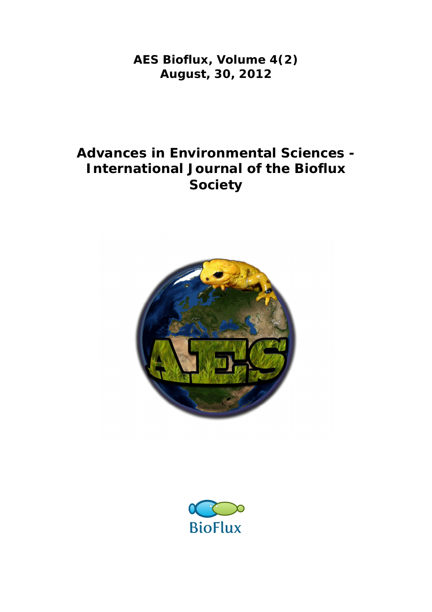**AES Bioflux, Volume 4(2) August, 30, 2012**

# **Advances in Environmental Sciences - International Journal of the Bioflux Society**



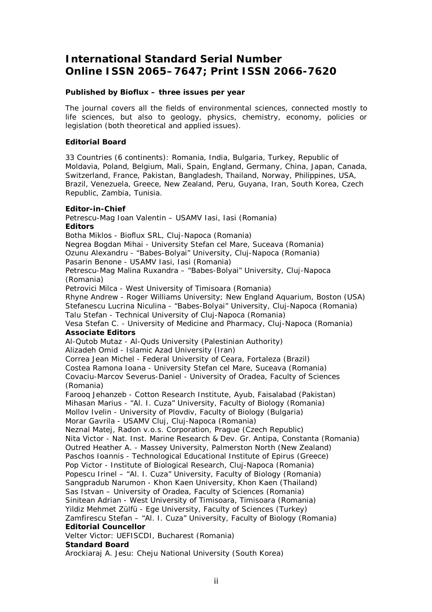### **International Standard Serial Number Online ISSN 2065–7647; Print ISSN 2066-7620**

#### **Published by Bioflux – three issues per year**

The journal covers all the fields of environmental sciences, connected mostly to life sciences, but also to geology, physics, chemistry, economy, policies or legislation (both theoretical and applied issues).

#### **Editorial Board**

33 Countries (6 continents): Romania, India, Bulgaria, Turkey, Republic of Moldavia, Poland, Belgium, Mali, Spain, England, Germany, China, Japan, Canada, Switzerland, France, Pakistan, Bangladesh, Thailand, Norway, Philippines, USA, Brazil, Venezuela, Greece, New Zealand, Peru, Guyana, Iran, South Korea, Czech Republic, Zambia, Tunisia.

#### **Editor-in-Chief**

Petrescu-Mag Ioan Valentin – USAMV Iasi, Iasi (Romania) **Editors** Botha Miklos - Bioflux SRL, Cluj-Napoca (Romania) Negrea Bogdan Mihai - University Stefan cel Mare, Suceava (Romania) Ozunu Alexandru - "Babes-Bolyai" University, Cluj-Napoca (Romania) Pasarin Benone - USAMV Iasi, Iasi (Romania) Petrescu-Mag Malina Ruxandra – "Babes-Bolyai" University, Cluj-Napoca (Romania) Petrovici Milca - West University of Timisoara (Romania) Rhyne Andrew - Roger Williams University; New England Aquarium, Boston (USA) Stefanescu Lucrina Niculina - "Babes-Bolyai" University, Cluj-Napoca (Romania) Talu Stefan - Technical University of Cluj-Napoca (Romania) Vesa Stefan C. - University of Medicine and Pharmacy, Cluj-Napoca (Romania) **Associate Editors**  Al-Qutob Mutaz - Al-Quds University (Palestinian Authority) Alizadeh Omid - Islamic Azad University (Iran) Correa Jean Michel - Federal University of Ceara, Fortaleza (Brazil) Costea Ramona Ioana - University Stefan cel Mare, Suceava (Romania) Covaciu-Marcov Severus-Daniel - University of Oradea, Faculty of Sciences (Romania) Farooq Jehanzeb - Cotton Research Institute, Ayub, Faisalabad (Pakistan) Mihasan Marius - "Al. I. Cuza" University, Faculty of Biology (Romania) Mollov Ivelin - University of Plovdiv, Faculty of Biology (Bulgaria) Morar Gavrila - USAMV Cluj, Cluj-Napoca (Romania) Neznal Matej, Radon v.o.s. Corporation, Prague (Czech Republic) Nita Victor - Nat. Inst. Marine Research & Dev. Gr. Antipa, Constanta (Romania) Outred Heather A. - Massey University, Palmerston North (New Zealand) Paschos Ioannis - Technological Educational Institute of Epirus (Greece) Pop Victor - Institute of Biological Research, Cluj-Napoca (Romania) Popescu Irinel – "Al. I. Cuza" University, Faculty of Biology (Romania) Sangpradub Narumon - Khon Kaen University, Khon Kaen (Thailand) Sas Istvan – University of Oradea, Faculty of Sciences (Romania) Sinitean Adrian - West University of Timisoara, Timisoara (Romania) Yildiz Mehmet Zülfü - Ege University, Faculty of Sciences (Turkey) Zamfirescu Stefan – "Al. I. Cuza" University, Faculty of Biology (Romania) **Editorial Councellor** Velter Victor: UEFISCDI, Bucharest (Romania) **Standard Board** 

#### Arockiaraj A. Jesu: Cheju National University (South Korea)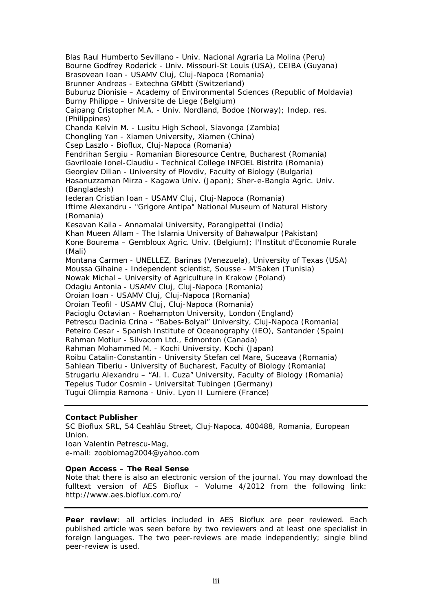Blas Raul Humberto Sevillano - Univ. Nacional Agraria La Molina (Peru) Bourne Godfrey Roderick - Univ. Missouri-St Louis (USA), CEIBA (Guyana) Brasovean Ioan - USAMV Cluj, Cluj-Napoca (Romania) Brunner Andreas - Extechna GMbtt (Switzerland) Buburuz Dionisie – Academy of Environmental Sciences (Republic of Moldavia) Burny Philippe – Universite de Liege (Belgium) Caipang Cristopher M.A. - Univ. Nordland, Bodoe (Norway); Indep. res. (Philippines) Chanda Kelvin M. - Lusitu High School, Siavonga (Zambia) Chongling Yan - Xiamen University, Xiamen (China) Csep Laszlo - Bioflux, Cluj-Napoca (Romania) Fendrihan Sergiu - Romanian Bioresource Centre, Bucharest (Romania) Gavriloaie Ionel-Claudiu - Technical College INFOEL Bistrita (Romania) Georgiev Dilian - University of Plovdiv, Faculty of Biology (Bulgaria) Hasanuzzaman Mirza - Kagawa Univ. (Japan); Sher-e-Bangla Agric. Univ. (Bangladesh) Iederan Cristian Ioan - USAMV Cluj, Cluj-Napoca (Romania) Iftime Alexandru - "Grigore Antipa" National Museum of Natural History (Romania) Kesavan Kaila - Annamalai University, Parangipettai (India) Khan Mueen Allam - The Islamia University of Bahawalpur (Pakistan) Kone Bourema – Gembloux Agric. Univ. (Belgium); l'Institut d'Economie Rurale (Mali) Montana Carmen - UNELLEZ, Barinas (Venezuela), University of Texas (USA) Moussa Gihaine - Independent scientist, Sousse - M'Saken (Tunisia) Nowak Michal – University of Agriculture in Krakow (Poland) Odagiu Antonia - USAMV Cluj, Cluj-Napoca (Romania) Oroian Ioan - USAMV Cluj, Cluj-Napoca (Romania) Oroian Teofil - USAMV Cluj, Cluj-Napoca (Romania) Pacioglu Octavian - Roehampton University, London (England) Petrescu Dacinia Crina - "Babes-Bolyai" University, Cluj-Napoca (Romania) Peteiro Cesar - Spanish Institute of Oceanography (IEO), Santander (Spain) Rahman Motiur - Silvacom Ltd., Edmonton (Canada) Rahman Mohammed M. - Kochi University, Kochi (Japan) Roibu Catalin-Constantin - University Stefan cel Mare, Suceava (Romania) Sahlean Tiberiu - University of Bucharest, Faculty of Biology (Romania) Strugariu Alexandru – "Al. I. Cuza" University, Faculty of Biology (Romania) Tepelus Tudor Cosmin - Universitat Tubingen (Germany) Tugui Olimpia Ramona - Univ. Lyon II Lumiere (France)

#### **Contact Publisher**

SC Bioflux SRL, 54 Ceahlău Street, Cluj-Napoca, 400488, Romania, European Union.

Ioan Valentin Petrescu-Mag, e-mail: zoobiomag2004@yahoo.com

#### **Open Access – The Real Sense**

Note that there is also an electronic version of the journal. You may download the fulltext version of AES Bioflux – Volume 4/2012 from the following link: http://www.aes.bioflux.com.ro/

**Peer review**: all articles included in AES Bioflux are peer reviewed. Each published article was seen before by two reviewers and at least one specialist in foreign languages. The two peer-reviews are made independently; single blind peer-review is used.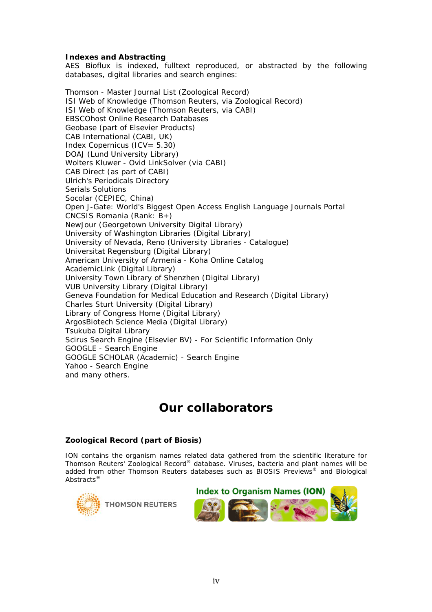#### **Indexes and Abstracting**

AES Bioflux is indexed, fulltext reproduced, or abstracted by the following databases, digital libraries and search engines:

Thomson - Master Journal List (Zoological Record) ISI Web of Knowledge (Thomson Reuters, via Zoological Record) ISI Web of Knowledge (Thomson Reuters, via CABI) EBSCOhost Online Research Databases Geobase (part of Elsevier Products) CAB International (CABI, UK) Index Copernicus (ICV= 5.30) DOAJ (Lund University Library) Wolters Kluwer - Ovid LinkSolver (via CABI) CAB Direct (as part of CABI) Ulrich's Periodicals Directory Serials Solutions Socolar (CEPIEC, China) Open J-Gate: World's Biggest Open Access English Language Journals Portal CNCSIS Romania (Rank: B+) NewJour (Georgetown University Digital Library) University of Washington Libraries (Digital Library) University of Nevada, Reno (University Libraries - Catalogue) Universitat Regensburg (Digital Library) American University of Armenia - Koha Online Catalog AcademicLink (Digital Library) University Town Library of Shenzhen (Digital Library) VUB University Library (Digital Library) Geneva Foundation for Medical Education and Research (Digital Library) Charles Sturt University (Digital Library) Library of Congress Home (Digital Library) ArgosBiotech Science Media (Digital Library) Tsukuba Digital Library Scirus Search Engine (Elsevier BV) - For Scientific Information Only GOOGLE - Search Engine GOOGLE SCHOLAR (Academic) - Search Engine Yahoo - Search Engine and many others.

# **Our collaborators**

#### **Zoological Record (part of Biosis)**

ION contains the organism names related data gathered from the scientific literature for Thomson Reuters' *Zoological Record®* database. Viruses, bacteria and plant names will be added from other Thomson Reuters databases such as *BIOSIS Previews®* and *Biological Abstracts®*



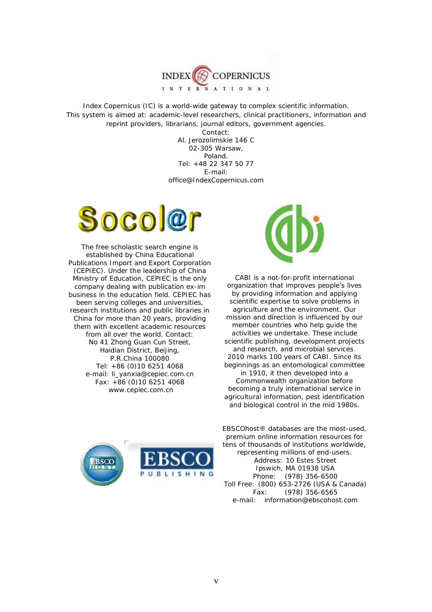

Index Copernicus (IC) is a world-wide gateway to complex scientific information. This system is aimed at: academic-level researchers, clinical practitioners, information and reprint providers, librarians, journal editors, government agencies.

Contact: Al. Jerozolimskie 146 C 02-305 Warsaw, Poland. Tel: +48 22 347 50 77 E-mail: office@IndexCopernicus.com



The free scholastic search engine is established by China Educational Publications Import and Export Corporation (CEPIEC). Under the leadership of China Ministry of Education, CEPIEC is the only company dealing with publication ex-im business in the education field. CEPIEC has been serving colleges and universities, research institutions and public libraries in China for more than 20 years, providing them with excellent academic resources from all over the world. Contact: No 41 Zhong Guan Cun Street, Haidian District, Beijing, P.R.China 100080 Tel: +86 (0)10 6251 4068 e-mail: li\_yanxia@cepiec.com.cn Fax: +86 (0)10 6251 4068 www.cepiec.com.cn



CABI is a not-for-profit international organization that improves people's lives by providing information and applying scientific expertise to solve problems in agriculture and the environment. Our mission and direction is influenced by our member countries who help guide the activities we undertake. These include scientific publishing, development projects and research, and microbial services. 2010 marks 100 years of CABI. Since its beginnings as an entomological committee in 1910, it then developed into a Commonwealth organization before becoming a truly international service in agricultural information, pest identification and biological control in the mid 1980s.



EBSCO*host®* databases are the most-used, premium online information resources for tens of thousands of institutions worldwide, representing millions of end-users. Address: 10 Estes Street Ipswich, MA 01938 USA<br>Phone: (978) 356-6500 (978) 356-6500 Toll Free: (800) 653-2726 (USA & Canada) Fax: (978) 356-6565 e-mail: information@ebscohost.com